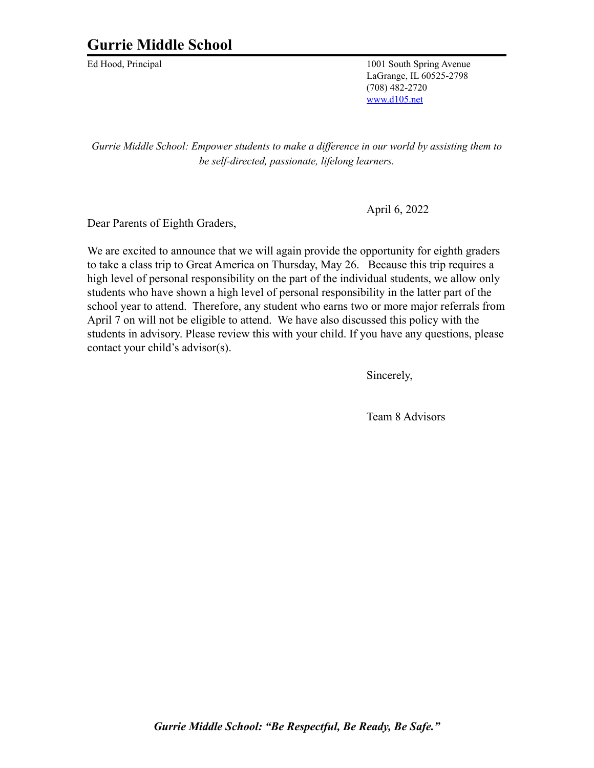## **Gurrie Middle School**

Ed Hood, Principal 1001 South Spring Avenue LaGrange, IL 60525-2798 (708) 482-2720 [www.d105.net](http://www.d105.net)

*Gurrie Middle School: Empower students to make a dif erence in our world by assisting them to be self-directed, passionate, lifelong learners.*

April 6, 2022

Dear Parents of Eighth Graders,

We are excited to announce that we will again provide the opportunity for eighth graders to take a class trip to Great America on Thursday, May 26. Because this trip requires a high level of personal responsibility on the part of the individual students, we allow only students who have shown a high level of personal responsibility in the latter part of the school year to attend. Therefore, any student who earns two or more major referrals from April 7 on will not be eligible to attend. We have also discussed this policy with the students in advisory. Please review this with your child. If you have any questions, please contact your child's advisor(s).

Sincerely,

Team 8 Advisors